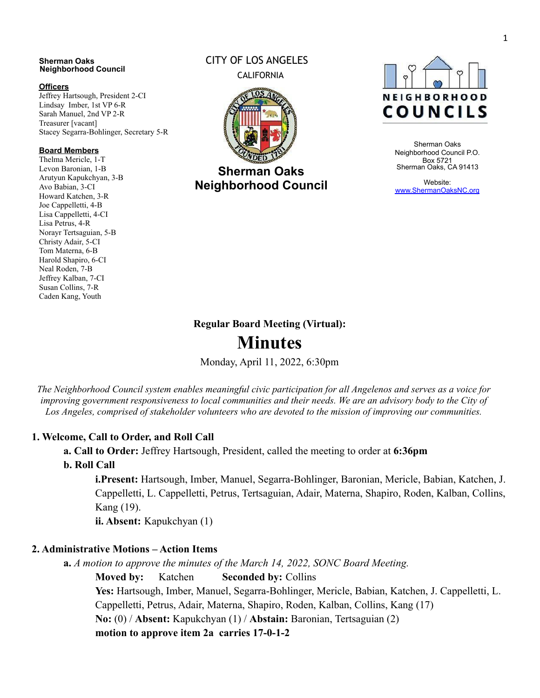#### **Sherman Oaks Neighborhood Council**

#### **Officers**

Jeffrey Hartsough, President 2-CI Lindsay Imber, 1st VP 6-R Sarah Manuel, 2nd VP 2-R Treasurer [vacant] Stacey Segarra-Bohlinger, Secretary 5-R

#### **Board Members**

Thelma Mericle, 1-T Levon Baronian, 1-B Arutyun Kapukchyan, 3-B Avo Babian, 3-CI Howard Katchen, 3-R Joe Cappelletti, 4-B Lisa Cappelletti, 4-CI Lisa Petrus, 4-R Norayr Tertsaguian, 5-B Christy Adair, 5-CI Tom Materna, 6-B Harold Shapiro, 6-CI Neal Roden, 7-B Jeffrey Kalban, 7-CI Susan Collins, 7-R Caden Kang, Youth

### CITY OF LOS ANGELES CALIFORNIA



**Sherman Oaks Neighborhood Council**



Sherman Oaks Neighborhood Council P.O. Box 5721 Sherman Oaks, CA 91413

Website: [www.ShermanOaksNC.org](http://www.shermanoaksnc.org/)

# **Regular Board Meeting (Virtual): Minutes**

Monday, April 11, 2022, 6:30pm

The Neighborhood Council system enables meaningful civic participation for all Angelenos and serves as a voice for improving government responsiveness to local communities and their needs. We are an advisory body to the City of *Los Angeles, comprised of stakeholder volunteers who are devoted to the mission of improving our communities.*

### **1. Welcome, Call to Order, and Roll Call**

**a. Call to Order:** Jeffrey Hartsough, President, called the meeting to order at **6:36pm**

**b. Roll Call**

**i.Present:** Hartsough, Imber, Manuel, Segarra-Bohlinger, Baronian, Mericle, Babian, Katchen, J. Cappelletti, L. Cappelletti, Petrus, Tertsaguian, Adair, Materna, Shapiro, Roden, Kalban, Collins, Kang (19).

**ii. Absent:** Kapukchyan (1)

#### **2. Administrative Motions – Action Items**

**a.** *A motion to approve the minutes of the March 14, 2022, SONC Board Meeting.*

**Moved by:** Katchen **Seconded by:** Collins

**Yes:** Hartsough, Imber, Manuel, Segarra-Bohlinger, Mericle, Babian, Katchen, J. Cappelletti, L. Cappelletti, Petrus, Adair, Materna, Shapiro, Roden, Kalban, Collins, Kang (17) **No:** (0) / **Absent:** Kapukchyan (1) / **Abstain:** Baronian, Tertsaguian (2) **motion to approve item 2a carries 17-0-1-2**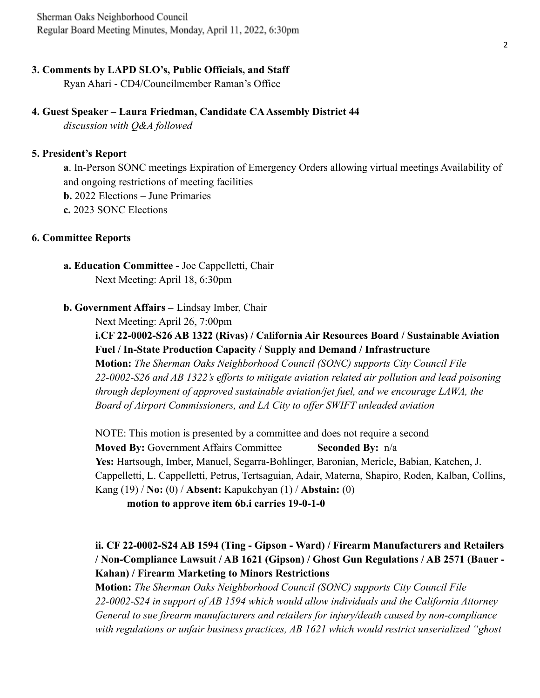Sherman Oaks Neighborhood Council Regular Board Meeting Minutes, Monday, April 11, 2022, 6:30pm

#### **3. Comments by LAPD SLO's, Public Officials, and Staff**

Ryan Ahari - CD4/Councilmember Raman's Office

#### **4. Guest Speaker – Laura Friedman, Candidate CA Assembly District 44**

*discussion with Q&A followed*

#### **5. President's Report**

**a**. In-Person SONC meetings Expiration of Emergency Orders allowing virtual meetings Availability of and ongoing restrictions of meeting facilities **b.** 2022 Elections – June Primaries **c.** 2023 SONC Elections

#### **6. Committee Reports**

- **a. Education Committee -** Joe Cappelletti, Chair Next Meeting: April 18, 6:30pm
- **b. Government Affairs –** Lindsay Imber, Chair

Next Meeting: April 26, 7:00pm

**i.CF 22-0002-S26 AB 1322 (Rivas) / California Air Resources Board / Sustainable Aviation Fuel / In-State Production Capacity / Supply and Demand / Infrastructure Motion:** *The Sherman Oaks Neighborhood Council (SONC) supports City Council File*

*22-0002-S26 and AB 1322's efforts to mitigate aviation related air pollution and lead poisoning through deployment of approved sustainable aviation/jet fuel, and we encourage LAWA, the Board of Airport Commissioners, and LA City to offer SWIFT unleaded aviation*

NOTE: This motion is presented by a committee and does not require a second **Moved By:** Government Affairs Committee **Seconded By:** n/a **Yes:** Hartsough, Imber, Manuel, Segarra-Bohlinger, Baronian, Mericle, Babian, Katchen, J. Cappelletti, L. Cappelletti, Petrus, Tertsaguian, Adair, Materna, Shapiro, Roden, Kalban, Collins, Kang (19) / **No:** (0) / **Absent:** Kapukchyan (1) / **Abstain:** (0)

**motion to approve item 6b.i carries 19-0-1-0**

## **ii. CF 22-0002-S24 AB 1594 (Ting - Gipson - Ward) / Firearm Manufacturers and Retailers / Non-Compliance Lawsuit / AB 1621 (Gipson) / Ghost Gun Regulations / AB 2571 (Bauer - Kahan) / Firearm Marketing to Minors Restrictions**

**Motion:** *The Sherman Oaks Neighborhood Council (SONC) supports City Council File 22-0002-S24 in support of AB 1594 which would allow individuals and the California Attorney General to sue firearm manufacturers and retailers for injury/death caused by non-compliance with regulations or unfair business practices, AB 1621 which would restrict unserialized "ghost*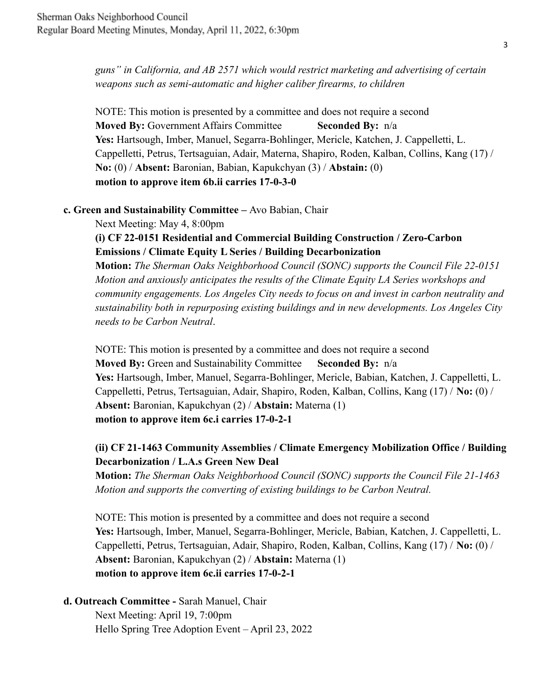*guns" in California, and AB 2571 which would restrict marketing and advertising of certain weapons such as semi-automatic and higher caliber firearms, to children*

NOTE: This motion is presented by a committee and does not require a second **Moved By:** Government Affairs Committee **Seconded By:** n/a **Yes:** Hartsough, Imber, Manuel, Segarra-Bohlinger, Mericle, Katchen, J. Cappelletti, L. Cappelletti, Petrus, Tertsaguian, Adair, Materna, Shapiro, Roden, Kalban, Collins, Kang (17) / **No:** (0) / **Absent:** Baronian, Babian, Kapukchyan (3) / **Abstain:** (0) **motion to approve item 6b.ii carries 17-0-3-0**

#### **c. Green and Sustainability Committee –** Avo Babian, Chair

Next Meeting: May 4, 8:00pm

### **(i) CF 22-0151 Residential and Commercial Building Construction / Zero-Carbon Emissions / Climate Equity L Series / Building Decarbonization**

**Motion:** *The Sherman Oaks Neighborhood Council (SONC) supports the Council File 22-0151 Motion and anxiously anticipates the results of the Climate Equity LA Series workshops and community engagements. Los Angeles City needs to focus on and invest in carbon neutrality and sustainability both in repurposing existing buildings and in new developments. Los Angeles City needs to be Carbon Neutral*.

NOTE: This motion is presented by a committee and does not require a second **Moved By:** Green and Sustainability Committee **Seconded By:** n/a **Yes:** Hartsough, Imber, Manuel, Segarra-Bohlinger, Mericle, Babian, Katchen, J. Cappelletti, L. Cappelletti, Petrus, Tertsaguian, Adair, Shapiro, Roden, Kalban, Collins, Kang (17) / **No:** (0) / **Absent:** Baronian, Kapukchyan (2) / **Abstain:** Materna (1) **motion to approve item 6c.i carries 17-0-2-1**

## **(ii) CF 21-1463 Community Assemblies / Climate Emergency Mobilization Office / Building Decarbonization / L.A.s Green New Deal**

**Motion:** *The Sherman Oaks Neighborhood Council (SONC) supports the Council File 21-1463 Motion and supports the converting of existing buildings to be Carbon Neutral.*

NOTE: This motion is presented by a committee and does not require a second **Yes:** Hartsough, Imber, Manuel, Segarra-Bohlinger, Mericle, Babian, Katchen, J. Cappelletti, L. Cappelletti, Petrus, Tertsaguian, Adair, Shapiro, Roden, Kalban, Collins, Kang (17) / **No:** (0) / **Absent:** Baronian, Kapukchyan (2) / **Abstain:** Materna (1) **motion to approve item 6c.ii carries 17-0-2-1**

## **d. Outreach Committee -** Sarah Manuel, Chair

Next Meeting: April 19, 7:00pm Hello Spring Tree Adoption Event – April 23, 2022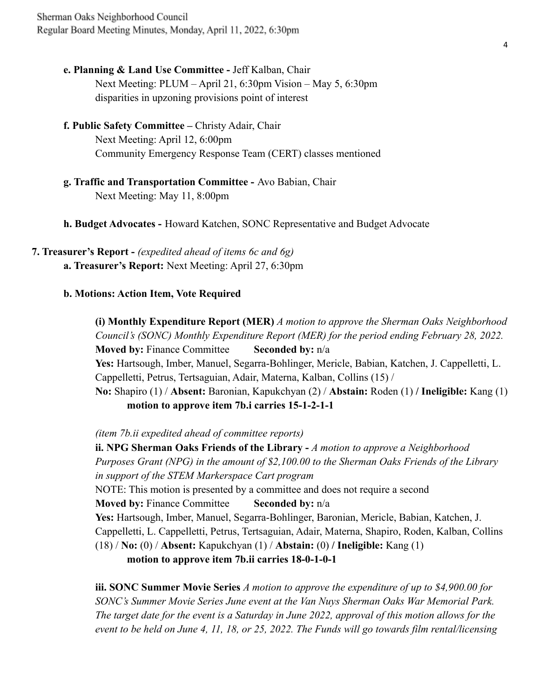- **e. Planning & Land Use Committee -** Jeff Kalban, Chair Next Meeting: PLUM – April 21, 6:30pm Vision – May 5, 6:30pm disparities in upzoning provisions point of interest
- **f. Public Safety Committee –** Christy Adair, Chair Next Meeting: April 12, 6:00pm Community Emergency Response Team (CERT) classes mentioned
- **g. Traffic and Transportation Committee -** Avo Babian, Chair Next Meeting: May 11, 8:00pm
- **h. Budget Advocates -** Howard Katchen, SONC Representative and Budget Advocate

**7. Treasurer's Report -** *(expedited ahead of items 6c and 6g)* **a. Treasurer's Report:** Next Meeting: April 27, 6:30pm

#### **b. Motions: Action Item, Vote Required**

**(i) Monthly Expenditure Report (MER)** *A motion to approve the Sherman Oaks Neighborhood Council's (SONC) Monthly Expenditure Report (MER) for the period ending February 28, 2022.* **Moved by:** Finance Committee **Seconded by:** n/a **Yes:** Hartsough, Imber, Manuel, Segarra-Bohlinger, Mericle, Babian, Katchen, J. Cappelletti, L. Cappelletti, Petrus, Tertsaguian, Adair, Materna, Kalban, Collins (15) / **No:** Shapiro (1) / **Absent:** Baronian, Kapukchyan (2) / **Abstain:** Roden (1) **/ Ineligible:** Kang (1) **motion to approve item 7b.i carries 15-1-2-1-1**

*(item 7b.ii expedited ahead of committee reports)*

**ii. NPG Sherman Oaks Friends of the Library -** *A motion to approve a Neighborhood Purposes Grant (NPG) in the amount of \$2,100.00 to the Sherman Oaks Friends of the Library in support of the STEM Markerspace Cart program* NOTE: This motion is presented by a committee and does not require a second **Moved by:** Finance Committee **Seconded by:**  $n/a$ **Yes:** Hartsough, Imber, Manuel, Segarra-Bohlinger, Baronian, Mericle, Babian, Katchen, J. Cappelletti, L. Cappelletti, Petrus, Tertsaguian, Adair, Materna, Shapiro, Roden, Kalban, Collins (18) / **No:** (0) / **Absent:** Kapukchyan (1) / **Abstain:** (0) **/ Ineligible:** Kang (1) **motion to approve item 7b.ii carries 18-0-1-0-1**

**iii. SONC Summer Movie Series** *A motion to approve the expenditure of up to \$4,900.00 for SONC's Summer Movie Series June event at the Van Nuys Sherman Oaks War Memorial Park. The target date for the event is a Saturday in June 2022, approval of this motion allows for the event to be held on June 4, 11, 18, or 25, 2022. The Funds will go towards film rental/licensing*